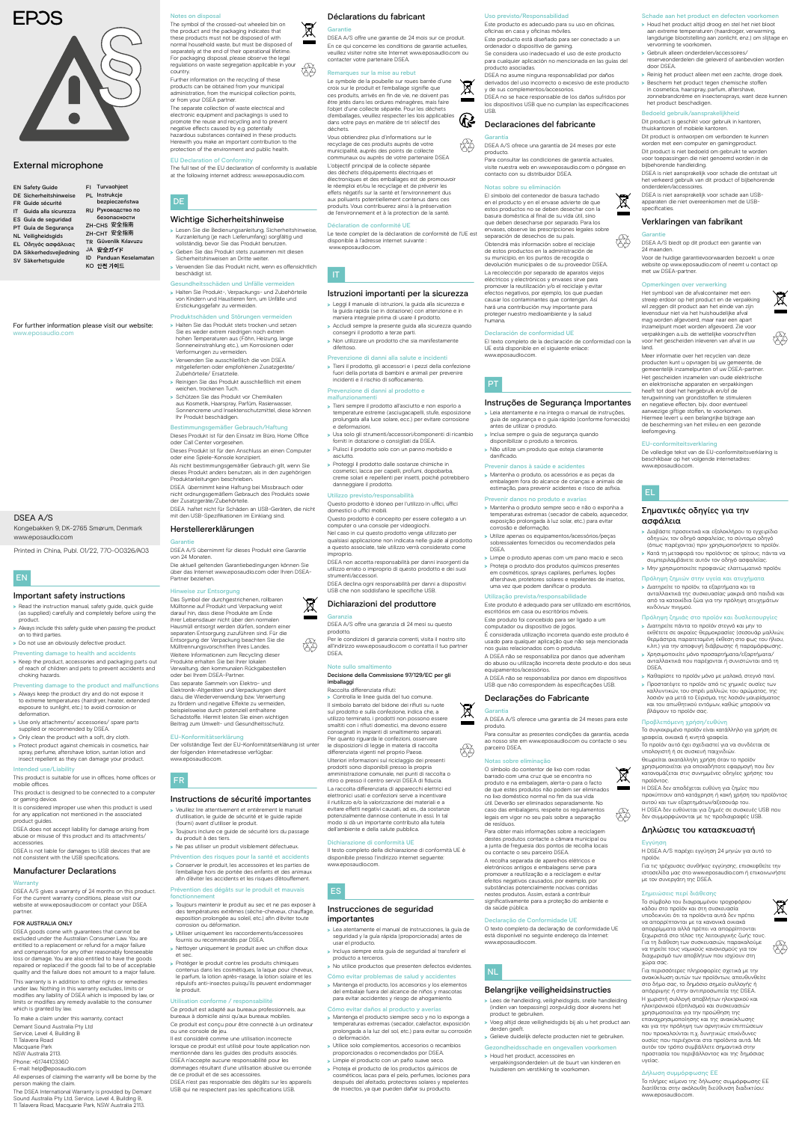### Déclarations du fabricant

#### $\boxtimes$ Garantie

DSEA A/S offre une garantie de 24 mois sur ce produit. En ce qui concerne les conditions de garantie actuelles, veuillez visiter notre site Internet www.eposaudio.com ou contacter votre partenaire DSEA.

### rques sur la mise au rebut

Le symbole de la poubelle sur roues barrée d'une  $\boxtimes$ croix sur le produit et l'emballage signifie que ces produits, arrivés en fin de vie, ne doivent pas être jetés dans les ordures ménagères, mais faire l'objet d'une collecte séparée. Pour les déchets d'emballages, veuillez respecter les lois applicable  $\mathfrak{B}$ dans votre pays en matière de tri sélectif des déchets.

Vous obtiendrez plus d'informations sur le recyclage de ces produits auprès de votre municipalité, auprès des points de collecte communaux ou auprès de votre partenaire DSEA L'objectif principal de la collecte séparée des déchets d'équipements électriques et électroniques et des emballages est de promouvoir le réemploi et/ou le recyclage et de prévenir les effets négatifs sur la santé et l'environnement dus aux polluants potentiellement contenus dans ces produits. Vous contribuerez ainsi à la préservation de l'environnement et à la protection de la santé.

### ration de conformité UE

Le texte complet de la déclaration de conformité de l'UE est disponible à l'adresse internet suivante : www.eposaudio.com.

### Istruzioni importanti per la sicurezza

- >>Leggi il manuale di istruzioni, la guida alla sicurezza e la guida rapida (se in dotazione) con attenzione e in
- maniera integrale prima di usare il prodotto. >>Accludi sempre la presente guida alla sicurezza quando
- consegni il prodotto a terze parti. >>Non utilizzare un prodotto che sia manifestamente difettoso.

### Prevenzione di danni alla salute e incidenti

- >>Tieni il prodotto, gli accessori e i pezzi della confezione fuori della portata di bambini e animali per prevenire incidenti e il rischio di soffocamento.
- Prevenzione di danni al prodotto e malfunzionamenti
- >>Tieni sempre il prodotto all'asciutto e non esporlo a temperature estreme (asciugacapelli, stufe, esposizione prolungata alla luce solare, ecc.) per evitare corrosione e deformazioni.
- >>Usa solo gli strumenti/accessori/componenti di ricambio forniti in dotazione o consigliati da DSEA.
- >>Pulisci il prodotto solo con un panno morbido e asciutto.
- >>Proteggi il prodotto dalle sostanze chimiche in cosmetici, lacca per capelli, profumi, dopobarba, creme solari e repellenti per insetti, poiché potrebbero danneggiare il prodotto.

- >>Lea atentamente el manual de instrucciones, la guía de seguridad y la guía rápida (proporcionada) antes de usar el producto.
- >>Incluya siempre esta guía de seguridad al transferir el producto a terceros.
- > No utilice productos que presenten defectos evidentes.

### Utilizzo previsto/responsabilità

Questo prodotto è idoneo per l'utilizzo in uffici, uffici domestici o uffici mobili.

Questo prodotto è concepito per essere collegato a un computer o una console per videogiochi. Nel caso in cui questo prodotto venga utilizzato per qualsiasi applicazione non indicata nelle guide al prodotto

a questo associate, tale utilizzo verrà considerato come improprio. DSEA non accetta responsabilità per danni insorgenti da

utilizzo errato o improprio di questo prodotto e dei suoi strumenti/accessori.

### choking hazards. nting damage to the product and malfunctions

DSEA declina ogni responsabilità per danni a dispositivi USB che non soddisfano le specifiche USB.

### Dichiarazioni del produttore Garanzia

DSEA A/S offre una garanzia di 24 mesi su questo prodotto.

Per le condizioni di garanzia correnti, visita il nostro sito all'indirizzo www.eposaudio.com o contatta il tuo partner DSEA.

### Note sullo smaltimento

t

図

### Decisione della Commissione 97/129/EC per gli imballaggi

for any application not mentioned in the associated product guides. DSEA does not accept liability for damage arising from

abuse or misuse of this product and its attachments accessories.

This warranty is in addition to other rights or remedies under law. Nothing in this warranty excludes, limits or modifies any liability of DSEA which is imposed by law, or limits or modifies any remedy available to the consumer which is granted by law.

Raccolta differenziata rifiuti: >>Controlla le linee guida del tuo comune. Il simbolo barrato del bidone dei rifiuti su ruote sul prodotto e sulla confezione, indica che, a utilizzo terminato, i prodotti non possono essere smaltiti con i rifiuti domestici, ma devono essere consegnati in impianti di smaltimento separati. Per quanto riguarda le confezioni, osservare le disposizioni di legge in materia di raccolta differenziata vigenti nel proprio Paese. Ulteriori informazioni sul riciclaggio dei presenti prodotti sono disponibili presso la propria amministrazione comunale, nei punti di raccolta o ritiro o presso il centro servizi DSEA di fiducia. La raccolta differenziata di apparecchi elettrici ed elettronici usati e confezioni serve a incentivare il riutilizzo e/o la valorizzazione dei materiali e a evitare effetti negativi causati, ad es., da sostanze potenzialmente dannose contenute in essi. In tal

f

 $\boxtimes$ 

modo si dà un importante contributo alla tutela

dell'ambiente e della salute pubblica. Dichiarazione di conformità UE

Il testo completo della dichiarazione di conformità UE è disponibile presso l'indirizzo internet seguente: www.eposaudio.com.

### ES

### Instrucciones de seguridad importantes

### Cómo evitar problemas de salud y accidentes

>>Mantenga el producto, los accesorios y los elementos del embalaje fuera del alcance de niños y mascotas para evitar accidentes y riesgo de ahogamiento.

### Cómo evitar daños al producto y averías

### claración de conformidad UE UE está disponible en el siguiente enlace:

- >>Mantenga el producto siempre seco y no lo exponga a temperaturas extremas (secador, calefactor, exposición prolongada a la luz del sol, etc.) para evitar su corrosión o deformación.
- >>Utilice solo complementos, accesorios o recambios proporcionados o recomendados por DSEA.
- >>Limpie el producto con un paño suave seco.
- >>Proteja el producto de los productos químicos de cosméticos, lacas para el pelo, perfumes, lociones para después del afeitado, protectores solares y repelentes de insectos, ya que pueden dañar su producto.

### EN

### Important safety instructions

- >>Read the instruction manual, safety guide, quick guide (as supplied) carefully and completely before using the
- product. > Always include this safety guide when passing the product on to third parties.
- > Do not use an obviously defective product.
- Preventing damage to health and accidents >>Keep the product, accessories and packaging parts out of reach of children and pets to prevent accidents and

- >>Always keep the product dry and do not expose it to extreme temperatures (hairdryer, heater, extended exposure to sunlight, etc.) to avoid corrosion or deformation.
- >>Use only attachments/ accessories/ spare parts supplied or recommended by DSEA.
- > Only clean the product with a soft, dry cloth. > Protect product against chemicals in cosmetics, hair
- spray, perfume, aftershave lotion, suntan lotion and insect repellent as they can damage your product.

## Intended use/Liability

This product is suitable for use in offices, home offices or mobile offices. This product is designed to be connected to a computer

or gaming device. It is considered improper use when this product is used

DSEA is not liable for damages to USB devices that are not consistent with the USB specifications.

### Manufacturer Declarations

#### Warra

DSEA A/S gives a warranty of 24 months on this product. For the current warranty conditions, please visit website at www.eposaudio.com or contact your DSEA partner.

### FOR AUSTRALIA ONLY

DSEA goods come with guarantees that cannot be excluded under the Australian Consumer Law. You are entitled to a replacement or refund for a major failure and compensation for any other reasonably foreseeable loss or damage. You are also entitled to have the goods repaired or replaced if the goods fail to be of acceptable quality and the failure does not amount to a major failure.

To make a claim under this warranty, contact

Demant Sound Australia Pty Ltd

- Service, Level 4, Building B
- 11 Talavera Road
- Macquarie Park
- NSW Australia 2113.
- Phone: +61744103360
- E-mail: help@eposaudio.com

All expenses of claiming the warranty will be borne by the person making the claim.

The DSEA International Warranty is provided by Demant Sound Australia Pty Ltd, Service, Level 4, Building B, 11 Talavera Road, Macquarie Park, NSW Australia 2113.

r un prod

For further information please visit our website: www.eposaudio.com

| <b>EN Safety Guide</b>        | Turvaohjeet<br>FI.        |
|-------------------------------|---------------------------|
| <b>DE Sicherheitshinweise</b> | PL Instrukcje             |
| FR Guide sécurité             | bezpieczeństwa            |
| Guida alla sicurezza<br>ΙT    | RU Руководство по         |
| ES Guía de seguridad          | безопасности              |
| PT Guia de Segurança          | ZH-CHS 安全指南               |
| <b>NL Veiligheidsgids</b>     | ZH-CHT 安全指南               |
| <b>EL Οδηγός ασφάλειας</b>    | TR Güvenlik Kılavuzu      |
| DA Sikkerhedsvejledning       | JA 安全ガイド                  |
| SV Säkerhetsguide             | Panduan Keselamatan<br>ID |
|                               | КО 안전 가이드                 |



Uso previsto/Responsabilidad Este producto es adecuado para su uso en oficinas,

- oficinas en casa y oficinas móviles. Este producto está diseñado para ser conectado a un ordenador o dispositivo de gaming.
- Se considera uso inadecuado el uso de este producto para cualquier aplicación no mencionada en las guías del producto asociadas.
- DSEA no asume ninguna responsabilidad por daños derivados del uso incorrecto o excesivo de este producto y de sus complementos/accesorios. DSEA no se hace responsable de los daños sufridos por
- los dispositivos USB que no cumplan las especificaciones USB.

### Declaraciones del fabricante

Gara DSEA A/S ofrece una garantía de 24 meses por este producto

Para consultar las condiciones de garantía actuales, visite nuestra web en www.eposaudio.com o póngase en contacto con su distribuidor DSEA.

### Notas sobre su eliminación

 $\bigotimes_{i=1}^{n}$ 

The symbol of the crossed-out wheeled bin on the product and the packaging indicates that these products must not be disposed of with normal household waste, but must be disposed of separately at the end of their operational lifetime. For packaging disposal, please observe the legal regulations on waste segregation applicable in your country. fŠ

> El símbolo del contenedor de basura tachado en el producto y en el envase advierte de que estos productos no se deben desechar con la basura doméstica al final de su vida útil, sino que deben desecharse por separado. Para los envases, observe las prescripciones legales sobre separación de desechos de su país. Obtendrá más información sobre el reciclaje de estos productos en la administración de su municipio, en los puntos de recogida o devolución municipales o de su proveedor DSEA. La recolección por separado de aparatos viejos eléctricos y electrónicos y envases sirve para promover la reutilización y/o el reciclaje y evitar efectos negativos, por ejemplo, los que puedan causar los contaminantes que contengan. Así hará una contribución muy importante para proteger nuestro medioambiente y la salud humana.

El texto completo de la declaración de conformidad con la

www.eposaudio.com.

Instruções de Segurança Importantes >>Leia atentamente e na íntegra o manual de instruções, guia de segurança e o guia rápido (conforme fornecido) antes de utilizar o produto.

>>Inclua sempre o guia de segurança quando disponibilizar o produto a terceiros. >>Não utilize um produto que esteja claramente

danificado.

Prevenir danos à saúde e acidentes >>Mantenha o produto, os acessórios e as peças da embalagem fora do alcance de crianças e animais de estimação, para prevenir acidentes e risco de asfixia.

Prevenir danos no produto e avaria

>>Mantenha o produto sempre seco e não o exponha a temperaturas extremas (secador de cabelo, aquecedor, exposição prolongada à luz solar, etc.) para evitar

corrosão e deformação.

>>Utilize apenas os equipamentos/acessórios/peças sobressalentes fornecidos ou recomendados pela

DSEA.

>>Limpe o produto apenas com um pano macio e seco. >>Proteja o produto dos produtos químicos presentes em cosméticos, sprays capilares, perfumes, loções aftershave, protetores solares e repelentes de insetos,

uma vez que podem danificar o produto. Utilização prevista/responsabilidade

Este produto é adequado para ser utilizado em escritórios,

escritórios em casa ou escritórios móveis. Este produto foi concebido para ser ligado a um computador ou dispositivo de jogos.

> Veuillez lire attentivement et entièrement le manuel d'utilisation, le guide de sécurité et le guide rapide (fourni) avant d'utiliser le produit. >>Toujours inclure ce guide de sécurité lors du passage É considerada utilização incorreta quando este produto é usado para qualquer aplicação que não seja mencionada

nos guias relacionados com o produto.

43

 $\cancel{\boxtimes}$ 

A DSEA não se responsabiliza por danos que advenham do abuso ou utilização incorreta deste produto e dos seus equipamentos/acessórios. A DSEA não se responsabiliza por danos em dispositivos USB que não correspondem às especificações USB. Declarações do Fabricante

Garantia

A DSEA A/S oferece uma garantia de 24 meses para este

produto.

Para consultar as presentes condições da garantia, aceda ao nosso site em www.eposaudio.com ou contacte o seu

parceiro DSEA.

Notas sobre eliminação

O símbolo do contentor de lixo com rodas barrado com uma cruz que se encontra no produto e na embalagem, alerta-o para o facto de que estes produtos não podem ser eliminados no lixo doméstico normal no fim da sua vida útil. Deverão ser eliminados separadamente. No caso das embalagens, respeite os regulamentos legais em vigor no seu país sobre a separação

de resíduos.

Para obter mais informações sobre a reciclagem

destes produtos contacte a câmara municipal ou a junta de freguesia dos pontos de recolha lo ou contacte o seu parceiro DSEA.

A recolha separada de aparelhos elétricos e eletrónicos antigos e embalagens serve para promover a reutilização e a reciclagem e evitar efeitos negativos causados, por exemplo, por substâncias potencialmente nocivas contidas nestes produtos. Assim, estará a contribuir significativamente para a proteção do ambiente e da saúde pública.

#### eclaração de Conformidade UE

O texto completo da declaração de conformidade UE está disponível no seguinte endereço da Internet: www.eposaudio.com.

NL

### Belangrijke veiligheidsinstructies

- >>Lees de handleiding, veiligheidsgids, snelle handleiding (indien van toepassing) zorgvuldig door alvorens het product te gebruiken.
- >>Voeg altijd deze veiligheidsgids bij als u het product aan derden geeft.
- >>Gelieve duidelijk defecte producten niet te gebruiken.

### Gezondheidsschade en ongevallen voorkomen

>>Houd het product, accessoires en verpakkingsonderdelen uit de buurt van kinderen en huisdieren om verstikking te voorkomen.

Schade aan het product en defecten voorkomen >>Houd het product altijd droog en stel het niet bloot aan extreme temperaturen (haardroger, verwarming, langdurige blootstelling aan zonlicht, enz.) om slijtage en

vervorming te voorkomen. >>Gebruik alleen onderdelen/accessoires/

reserveonderdelen die geleverd of aanbevolen worden

door DSEA.

>>Reinig het product alleen met een zachte, droge doek. >>Bescherm het product tegen chemische stoffen in cosmetica, haarspray, parfum, aftershave, zonnebrandcrème en insectensprays, want deze kunnen

het product beschadigen. Bedoeld gebruik/aansprakelijkheid Dit product is geschikt voor gebruik in kantoren, thuiskantoren of mobiele kantoren.

Dit product is ontworpen om verbonden te kunnen worden met een computer en gamingproduct. Dit product is niet bedoeld om gebruikt te worden voor toepassingen die niet genoemd worden in de

bijbehorende handleiding.

DSEA is niet aansprakelijk voor schade die ontstaat uit het verkeerd gebruik van dit product of bijbehorende

onderdelen/accessoires.

.<br>ecificaties.

**Garantie** 

DSEA is niet aansprakelijk voor schade aan USBapparaten die niet overeenkomen met de USB-

Verklaringen van fabrikant

DSEA A/S biedt op dit product een garantie van

24 maanden.

met uw DSEA-partner.

Voor de huidige garantievoorwaarden bezoekt u onze

website op water op week versite op

ti

 $\cancel{\mathbb{X}}$ 

Opmerkingen over verwerking

Het symbool van de afvalcontainer met een streep erdoor op het product en de verpakking wil zeggen dit product aan het einde van zijn levensduur niet via het huishoudelijke afval mag worden afgevoerd, maar naar een apart inzamelpunt moet worden afgevoerd. Zie voor verpakkingen a.u.b. de wettelijke voorschriften voor het gescheiden inleveren van afval in uw

land.

Meer informatie over het recyclen van deze producten kunt u opvragen bij uw gemeente, de gemeentelijk inzamelpunten of uw DSEA-partner. Het gescheiden inzamelen van oude elektrische ektronische apparaten en verpakkingen heeft tot doel het hergebruik en/of de terugwinning van grondstoffen te stimuleren en negatieve effecten, bijv. door eventueel aanwezige giftige stoffen, te voorkomen. Hiermee levert u een belangrijke bijdrage aan de bescherming van het milieu en een gezonde

leefomgeving.

EU-conformiteitsverklaring

De volledige tekst van de EU-conformiteitsverklaring is beschikbaar op het volgende internetadres:

www.eposaudio.com.

Σημαντικές οδηγίες για την

ασφάλεια

>>Διαβάστε προσεκτικά και εξολοκλήρου το εγχειρίδιο οδηγιών, τον οδηγό ασφαλείας, το σύντομο οδηγό (όπως παρέχονται) πριν χρησιμοποιήσετε το προϊόν. >>Κατά τη μεταφορά του προϊόντος σε τρίτους, πάντα να συμπεριλαμβάνετε αυτόν τον οδηγό ασφαλείας. >>Μην χρησιμοποιείτε προφανώς ελαττωματικό προϊόν. Πρόληψη ζημιών στην υγεία και ατυχήματα >>Διατηρείτε το προϊόν, τα εξαρτήματα και τα ανταλλακτικά της συσκευασίας μακριά από παιδιά και από τα κατοικίδια ζώα για την πρόληψη ατυχημάτων

κινδύνων πνιγμού.

Πρόληψη ζημιάς στο προϊόν και δυσλειτουργίες >>Διατηρείτε πάντα το προϊόν στεγνό και μην το εκθέτετε σε ακραίες θερμοκρασίες (σεσουάρ μαλλιών, θερμάστρα, παρατεταμένη έκθεση στο φως του ήλιου, κ.λπ.) για την αποφυγή διάβρωσης ή παραμόρφωσης. >>Χρησιμοποιείτε μόνο προσαρτήματα/εξαρτήματα/ ανταλλακτικά που παρέχονται ή συνιστώνται από τη

DSEA.

>>Καθαρίστε το προϊόν μόνο με μαλακό, στεγνό πανί. >>Προστατέψτε το προϊόν από τις χημικές ουσίες των καλλυντικών, του σπρέι μαλλιών, του αρώματος, της λοσιόν για μετά το ξύρισμα, της λοσιόν μαυρίσματος και του απωθητικού εντόμων, καθώς μπορούν να

βλάψουν το προϊόν σας. Προβλεπόμενη χρήση/ευθύνη

Το συγκεκριμένο προϊόν είναι κατάλληλο για χρήση σε

γραφεία, οικιακά ή κινητά γραφεία.

Το προϊόν αυτό έχει σχεδιαστεί για να συνδέεται σε υπολογιστή ή σε συσκευή παιχνιδιών. Θεωρείται ακατάλληλη χρήση όταν το προϊόν χρησιμοποιείται για οποιαδήποτε εφαρμογή που δεν κατονομάζεται στις συνημμένες οδηγίες χρήσης του

προϊόντος.

Η DSEA δεν αποδέχεται ευθύνη για ζημίες που προκύπτουν από κατάχρηση ή κακή χρήση του προϊόντος

αυτού και των εξαρτημάτων/αξεσουάρ του.

Η DSEA δεν ευθύνεται για ζημιές σε συσκευές USB που δεν συμμορφώνονται με τις προδιαγραφές USB.

Δηλώσεις του κατασκευαστή

Εγγύηση

Η DSEA A/S παρέχει εγγύηση 24 μηνών για αυτό το προϊόν.

Για τις τρέχουσες συνθήκες εγγύησης, επισκεφθείτε την ια τις προγραμμας στο www.e με τον συνεργάτη της DSEA.

#### <mark><sup>Σεις</sup> περί δι</mark>άθ

43

 $\boxtimes$ 

Το σύμβολο του διαγραμμένου τροχοφόρου κάδου στο προϊόν και στη συσκευασία υποδεικνύει ότι τα προϊόντα αυτά δεν πρέπει να απορρίπτονται με τα κανονικά οικιακά απορρίμματα αλλά πρέπει να απορρίπτονται ξεχωριστά στο τέλος της λειτουργικής ζωής τους. Για τη διάθεση των συσκευασιών, παρακαλούμε να τηρείτε τους νομικούς κανονισμούς για τον διαχωρισμό των αποβλήτων που ισχύουν στη χώρα σας.

Για περισσότερες πληροφορίες σχετικά με την ανακύκλωση αυτών των προϊόντων, απευθυνθείτε στο δήμο σας, το δημόσιο σημείο συλλογής ή απόρριψης ή στην αντιπροσωπεία της DSEA. Η χωριστή συλλογή αποβλήτων ηλεκτρικού και ηλεκτρονικού εξοπλισμού και συσκευασιών χρησιμοποιείται για την προώθηση της επαναχρησιμοποίησης και της ανακύκλωσης και για την πρόληψη των αρνητικών επιπτώσεων που προκαλούνται π.χ. δυνητικώς επικίνδυνες ουσίες που περιέχονται στα προϊόντα αυτά. Με αυτόν τον τρόπο συμβάλλετε σημαντικά στην προστασία του περιβάλλοντος και της δημόσιας υγείας.

### Δήλωση συμμόρφωσης ΕΕ

Το πλήρες κείμενο της δήλωσης συμμόρφωσης ΕΕ διατίθεται στην ακόλουθη διεύθυνση διαδικτύου: www.eposaudio.com.



뚫

Kongebakken 9, DK-2765 Smørum, Denmark www.eposaudio.com DSEA A/S

Printed in China, Publ. 01/22, 770-00326/A03

### External microphone

### Notes on disposal

### Further information on the recycling of these products can be obtained from your municipal administration, from the municipal collection points, or from your DSEA partner.

The separate collection of waste electrical and electronic equipment and packagings is used to promote the reuse and recycling and to prevent negative effects caused by e.g. potentially hazardous substances contained in these products. Herewith you make an important contribution to the protection of the environment and public health.

### EU Declaration of Conformity

The full text of the EU declaration of conformity is available at the following internet address: www.eposaudio.com.

# DE

### Wichtige Sicherheitshinweise

>>Lesen Sie die Bedienungsanleitung, Sicherheitshinweise, Kurzanleitung (je nach Lieferumfang) sorgfältig und vollständig, bevor Sie das Produkt benutzen.

>>Geben Sie das Produkt stets zusammen mit diesen

- Sicherheitshinweisen an Dritte weiter. >>Verwenden Sie das Produkt nicht, wenn es offensichtlich beschädigt ist.
- Gesundheitsschäden und Unfälle vermeiden
- >>Halten Sie Produkt-, Verpackungs- und Zubehörteile von Kindern und Haustieren fern, um Unfälle und Erstickungsgefahr zu vermeiden.
- den und Störungen ver >>Halten Sie das Produkt stets trocken und setzen Sie es weder extrem niedrigen noch extrem hohen Temperaturen aus (Föhn, Heizung, lange Sonneneinstrahlung etc.), um Korrosionen oder Verformungen zu vermeiden.
- >>Verwenden Sie ausschließlich die von DSEA mitgelieferten oder empfohlenen Zusatzgeräte/ Zubehörteile/ Ersatzteile.
- >>Reinigen Sie das Produkt ausschließlich mit einem weichen, trockenen Tuch. >>Schützen Sie das Produkt vor Chemikalien
- aus Kosmetik, Haarspray, Parfüm, Rasierwasse Sonnencreme und Insektenschutzmittel, diese können Ihr Produkt beschädigen.

### Bestimmungsgemäßer Gebrauch/Haftung

- Dieses Produkt ist für den Einsatz im Büro, Home Office oder Call Center vorgesehen.
- Dieses Produkt ist für den Anschluss an einen Computer oder eine Spiele-Konsole konzipiert. Als nicht bestimmungsgemäßer Gebrauch gilt, wenn Sie dieses Produkt anders benutzen, als in den zugehörigen
- Produktanleitungen beschrieben.
- DSEA übernimmt keine Haftung bei Missbrauch oder nicht ordnungsgemäßem Gebrauch des Produkts sowie der Zusatzgeräte/Zubehörteile. DSEA haftet nicht für Schäden an USB-Geräten, die nicht
- mit den USB-Spezifikationen im Einklang sind.

### Herstellererklärungen

### **Garantie**

DSEA A/S übernimmt für dieses Produkt eine Garantie von 24 Monaten. Die aktuell geltenden Garantiebedingungen können Sie

über das Internet www.eposaudio.com oder Ihren DSEA-Partner beziehen.

### Hinweise zur Entsorgung

Das Symbol der durchgestrichenen, rollbaren Mülltonne auf Produkt und Verpackung weist darauf hin, dass diese Produkte am Ende ihrer Lebensdauer nicht über den normalen Hausmüll entsorgt werden dürfen, sondern einer separaten Entsorgung zuzuführen sind. Für die Entsorgung der Verpackung beachten Sie die Mülltrennungsvorschriften Ihres Landes. Weitere Informationen zum Recycling diese Produkte erhalten Sie bei Ihrer lokalen Verwaltung, den kommunalen Rückgabestellen oder bei Ihrem DSEA-Partner. Das separate Sammeln von Elektro- und Elektronik-Altgeräten und Verpackungen dient dazu, die Wiederverwendung bzw. Verwertung zu fördern und negative Effekte zu vermeiden, beispielsweise durch potenziell enthaltene Schadstoffe. Hiermit leisten Sie einen wichtigen Beitrag zum Umwelt- und Gesundheitsschutz.

### EU-Konformitätserklärung

Der vollständige Text der EU-Konformitätserklärung ist unter der folgenden Internetadresse verfügbar: www.eposaudio.com.

### Instructions de sécurité importantes

du produit à des tiers.

#### Prévention des risques pour la santé et accidents

>>Conserver le produit, les accessoires et les parties de l'emballage hors de portée des enfants et des animaux afin d'éviter les accidents et les risques d'étouffement.

#### Prévention des dégâts sur le produit et mauvais fonctionnement

- >>Toujours maintenir le produit au sec et ne pas exposer à des températures extrêmes (sèche-cheveux, chauffage, exposition prolongée au soleil, etc.) afin d'éviter toute corrosion ou déformation.
- >>Utiliser uniquement les raccordements/accessoires fournis ou recommandés par DSEA.
- > Nettoyer uniquement le produit avec un chiffon doux et sec.
- >>Protéger le produit contre les produits chimiques contenus dans les cosmétiques, la laque pour cheveux le parfum, la lotion après-rasage, la lotion solaire et les répulsifs anti-insectes puisqu'ils peuvent endommage le produit.

#### Utilisation conforme / responsabilité

Ce produit est adapté aux bureaux professionnels, aux bureaux à domicile ainsi qu'aux bureaux mobiles.

Ce produit est conçu pour être connecté à un ordinateur ou une console de jeu.

Il est considéré comme une utilisation incorrecte lorsque ce produit est utilisé pour toute application non mentionnée dans les guides des produits associés. DSEA n'accepte aucune responsabilité pour les dommages résultant d'une utilisation abusive ou erronée de ce produit et de ses accessoires. DSEA n'est pas responsable des dégâts sur les appareils

USB qui ne respectent pas les spécifications USB.